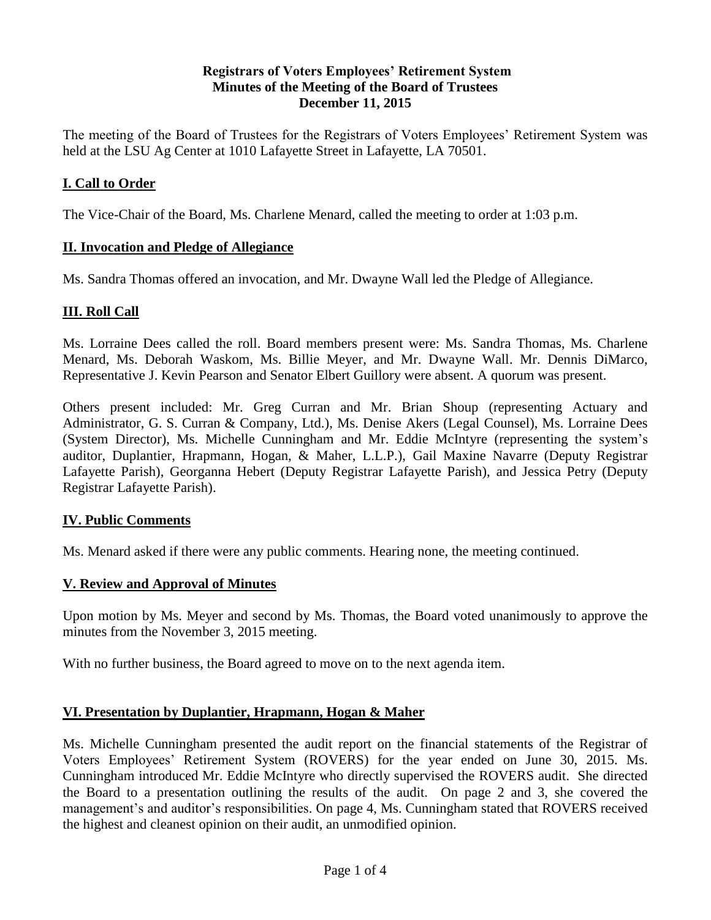#### **Registrars of Voters Employees' Retirement System Minutes of the Meeting of the Board of Trustees December 11, 2015**

The meeting of the Board of Trustees for the Registrars of Voters Employees' Retirement System was held at the LSU Ag Center at 1010 Lafayette Street in Lafayette, LA 70501.

### **I. Call to Order**

The Vice-Chair of the Board, Ms. Charlene Menard, called the meeting to order at 1:03 p.m.

#### **II. Invocation and Pledge of Allegiance**

Ms. Sandra Thomas offered an invocation, and Mr. Dwayne Wall led the Pledge of Allegiance.

#### **III. Roll Call**

Ms. Lorraine Dees called the roll. Board members present were: Ms. Sandra Thomas, Ms. Charlene Menard, Ms. Deborah Waskom, Ms. Billie Meyer, and Mr. Dwayne Wall. Mr. Dennis DiMarco, Representative J. Kevin Pearson and Senator Elbert Guillory were absent. A quorum was present.

Others present included: Mr. Greg Curran and Mr. Brian Shoup (representing Actuary and Administrator, G. S. Curran & Company, Ltd.), Ms. Denise Akers (Legal Counsel), Ms. Lorraine Dees (System Director), Ms. Michelle Cunningham and Mr. Eddie McIntyre (representing the system's auditor, Duplantier, Hrapmann, Hogan, & Maher, L.L.P.), Gail Maxine Navarre (Deputy Registrar Lafayette Parish), Georganna Hebert (Deputy Registrar Lafayette Parish), and Jessica Petry (Deputy Registrar Lafayette Parish).

#### **IV. Public Comments**

Ms. Menard asked if there were any public comments. Hearing none, the meeting continued.

#### **V. Review and Approval of Minutes**

Upon motion by Ms. Meyer and second by Ms. Thomas, the Board voted unanimously to approve the minutes from the November 3, 2015 meeting.

With no further business, the Board agreed to move on to the next agenda item.

#### **VI. Presentation by Duplantier, Hrapmann, Hogan & Maher**

Ms. Michelle Cunningham presented the audit report on the financial statements of the Registrar of Voters Employees' Retirement System (ROVERS) for the year ended on June 30, 2015. Ms. Cunningham introduced Mr. Eddie McIntyre who directly supervised the ROVERS audit. She directed the Board to a presentation outlining the results of the audit. On page 2 and 3, she covered the management's and auditor's responsibilities. On page 4, Ms. Cunningham stated that ROVERS received the highest and cleanest opinion on their audit, an unmodified opinion.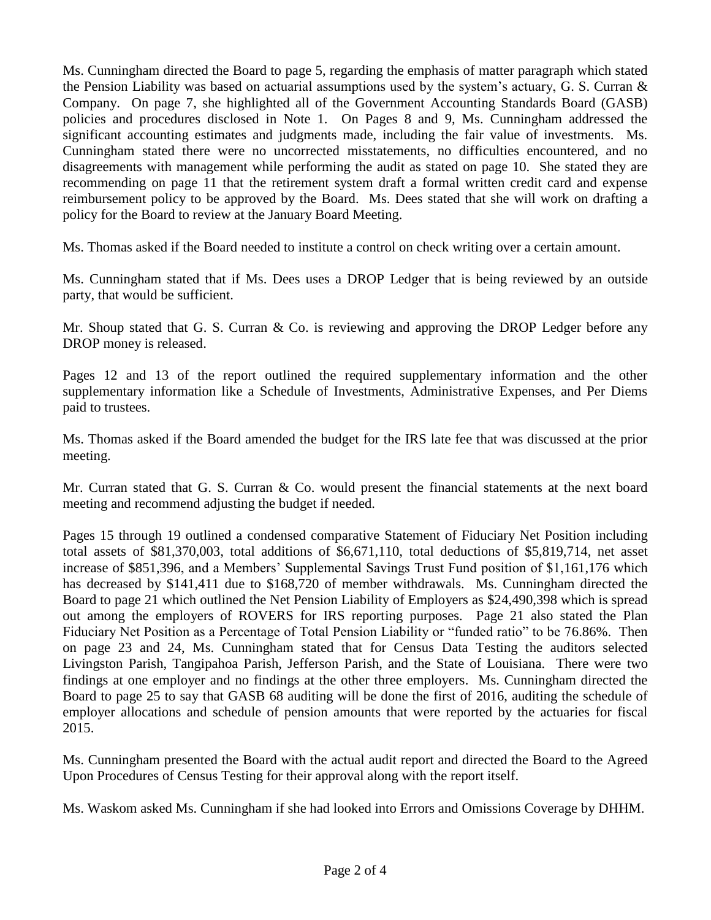Ms. Cunningham directed the Board to page 5, regarding the emphasis of matter paragraph which stated the Pension Liability was based on actuarial assumptions used by the system's actuary, G. S. Curran  $\&$ Company. On page 7, she highlighted all of the Government Accounting Standards Board (GASB) policies and procedures disclosed in Note 1. On Pages 8 and 9, Ms. Cunningham addressed the significant accounting estimates and judgments made, including the fair value of investments. Ms. Cunningham stated there were no uncorrected misstatements, no difficulties encountered, and no disagreements with management while performing the audit as stated on page 10. She stated they are recommending on page 11 that the retirement system draft a formal written credit card and expense reimbursement policy to be approved by the Board. Ms. Dees stated that she will work on drafting a policy for the Board to review at the January Board Meeting.

Ms. Thomas asked if the Board needed to institute a control on check writing over a certain amount.

Ms. Cunningham stated that if Ms. Dees uses a DROP Ledger that is being reviewed by an outside party, that would be sufficient.

Mr. Shoup stated that G. S. Curran & Co. is reviewing and approving the DROP Ledger before any DROP money is released.

Pages 12 and 13 of the report outlined the required supplementary information and the other supplementary information like a Schedule of Investments, Administrative Expenses, and Per Diems paid to trustees.

Ms. Thomas asked if the Board amended the budget for the IRS late fee that was discussed at the prior meeting.

Mr. Curran stated that G. S. Curran & Co. would present the financial statements at the next board meeting and recommend adjusting the budget if needed.

Pages 15 through 19 outlined a condensed comparative Statement of Fiduciary Net Position including total assets of \$81,370,003, total additions of \$6,671,110, total deductions of \$5,819,714, net asset increase of \$851,396, and a Members' Supplemental Savings Trust Fund position of \$1,161,176 which has decreased by \$141,411 due to \$168,720 of member withdrawals. Ms. Cunningham directed the Board to page 21 which outlined the Net Pension Liability of Employers as \$24,490,398 which is spread out among the employers of ROVERS for IRS reporting purposes. Page 21 also stated the Plan Fiduciary Net Position as a Percentage of Total Pension Liability or "funded ratio" to be 76.86%. Then on page 23 and 24, Ms. Cunningham stated that for Census Data Testing the auditors selected Livingston Parish, Tangipahoa Parish, Jefferson Parish, and the State of Louisiana. There were two findings at one employer and no findings at the other three employers. Ms. Cunningham directed the Board to page 25 to say that GASB 68 auditing will be done the first of 2016, auditing the schedule of employer allocations and schedule of pension amounts that were reported by the actuaries for fiscal 2015.

Ms. Cunningham presented the Board with the actual audit report and directed the Board to the Agreed Upon Procedures of Census Testing for their approval along with the report itself.

Ms. Waskom asked Ms. Cunningham if she had looked into Errors and Omissions Coverage by DHHM.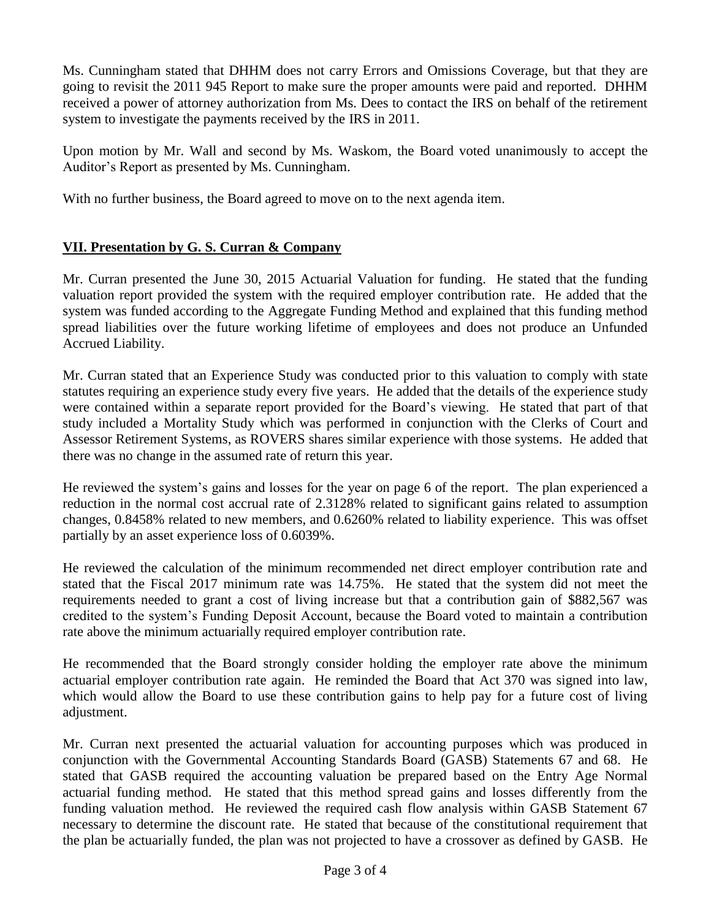Ms. Cunningham stated that DHHM does not carry Errors and Omissions Coverage, but that they are going to revisit the 2011 945 Report to make sure the proper amounts were paid and reported. DHHM received a power of attorney authorization from Ms. Dees to contact the IRS on behalf of the retirement system to investigate the payments received by the IRS in 2011.

Upon motion by Mr. Wall and second by Ms. Waskom, the Board voted unanimously to accept the Auditor's Report as presented by Ms. Cunningham.

With no further business, the Board agreed to move on to the next agenda item.

# **VII. Presentation by G. S. Curran & Company**

Mr. Curran presented the June 30, 2015 Actuarial Valuation for funding. He stated that the funding valuation report provided the system with the required employer contribution rate. He added that the system was funded according to the Aggregate Funding Method and explained that this funding method spread liabilities over the future working lifetime of employees and does not produce an Unfunded Accrued Liability.

Mr. Curran stated that an Experience Study was conducted prior to this valuation to comply with state statutes requiring an experience study every five years. He added that the details of the experience study were contained within a separate report provided for the Board's viewing. He stated that part of that study included a Mortality Study which was performed in conjunction with the Clerks of Court and Assessor Retirement Systems, as ROVERS shares similar experience with those systems. He added that there was no change in the assumed rate of return this year.

He reviewed the system's gains and losses for the year on page 6 of the report. The plan experienced a reduction in the normal cost accrual rate of 2.3128% related to significant gains related to assumption changes, 0.8458% related to new members, and 0.6260% related to liability experience. This was offset partially by an asset experience loss of 0.6039%.

He reviewed the calculation of the minimum recommended net direct employer contribution rate and stated that the Fiscal 2017 minimum rate was 14.75%. He stated that the system did not meet the requirements needed to grant a cost of living increase but that a contribution gain of \$882,567 was credited to the system's Funding Deposit Account, because the Board voted to maintain a contribution rate above the minimum actuarially required employer contribution rate.

He recommended that the Board strongly consider holding the employer rate above the minimum actuarial employer contribution rate again. He reminded the Board that Act 370 was signed into law, which would allow the Board to use these contribution gains to help pay for a future cost of living adjustment.

Mr. Curran next presented the actuarial valuation for accounting purposes which was produced in conjunction with the Governmental Accounting Standards Board (GASB) Statements 67 and 68. He stated that GASB required the accounting valuation be prepared based on the Entry Age Normal actuarial funding method. He stated that this method spread gains and losses differently from the funding valuation method. He reviewed the required cash flow analysis within GASB Statement 67 necessary to determine the discount rate. He stated that because of the constitutional requirement that the plan be actuarially funded, the plan was not projected to have a crossover as defined by GASB. He